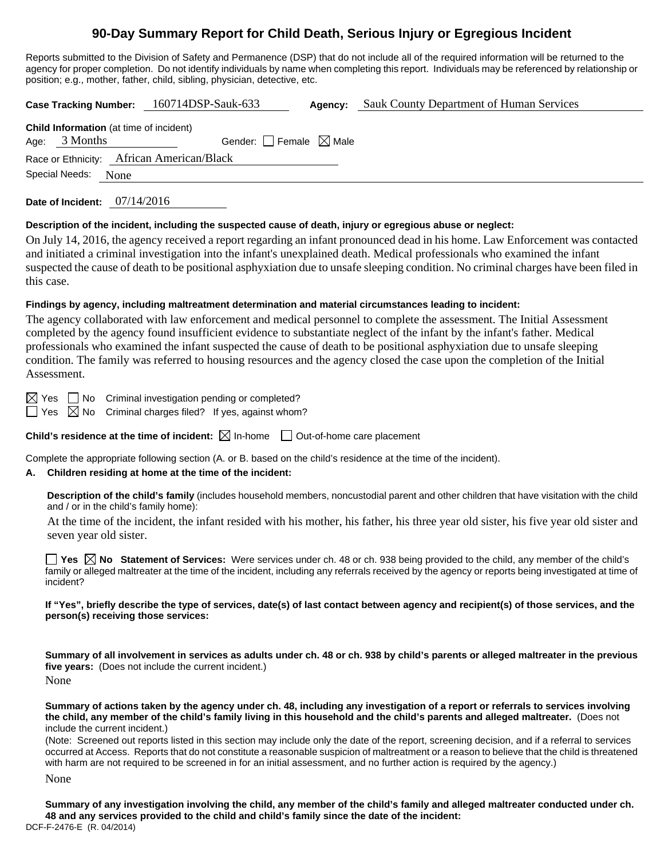# **90-Day Summary Report for Child Death, Serious Injury or Egregious Incident**

Reports submitted to the Division of Safety and Permanence (DSP) that do not include all of the required information will be returned to the agency for proper completion. Do not identify individuals by name when completing this report. Individuals may be referenced by relationship or position; e.g., mother, father, child, sibling, physician, detective, etc.

**Case Tracking Number:** 160714DSP-Sauk-633 **Agency:** Sauk County Department of Human Services

| <b>Child Information</b> (at time of incident) |                     |                                     |  |  |  |  |
|------------------------------------------------|---------------------|-------------------------------------|--|--|--|--|
|                                                | Age: $3$ Months     | Gender: $ $ Female $\boxtimes$ Male |  |  |  |  |
| Race or Ethnicity: African American/Black      |                     |                                     |  |  |  |  |
|                                                | Special Needs: None |                                     |  |  |  |  |

**Date of Incident:** 07/14/2016

### **Description of the incident, including the suspected cause of death, injury or egregious abuse or neglect:**

On July 14, 2016, the agency received a report regarding an infant pronounced dead in his home. Law Enforcement was contacted and initiated a criminal investigation into the infant's unexplained death. Medical professionals who examined the infant suspected the cause of death to be positional asphyxiation due to unsafe sleeping condition. No criminal charges have been filed in this case.

## **Findings by agency, including maltreatment determination and material circumstances leading to incident:**

The agency collaborated with law enforcement and medical personnel to complete the assessment. The Initial Assessment completed by the agency found insufficient evidence to substantiate neglect of the infant by the infant's father. Medical professionals who examined the infant suspected the cause of death to be positional asphyxiation due to unsafe sleeping condition. The family was referred to housing resources and the agency closed the case upon the completion of the Initial Assessment.

 $\boxtimes$  Yes  $\Box$  No Criminal investigation pending or completed?

 $\Box$  Yes  $\boxtimes$  No Criminal charges filed? If yes, against whom?

**Child's residence at the time of incident:**  $\boxtimes$  In-home  $\Box$  Out-of-home care placement

Complete the appropriate following section (A. or B. based on the child's residence at the time of the incident).

### **A. Children residing at home at the time of the incident:**

**Description of the child's family** (includes household members, noncustodial parent and other children that have visitation with the child and / or in the child's family home):

 At the time of the incident, the infant resided with his mother, his father, his three year old sister, his five year old sister and seven year old sister.

**Yes No Statement of Services:** Were services under ch. 48 or ch. 938 being provided to the child, any member of the child's family or alleged maltreater at the time of the incident, including any referrals received by the agency or reports being investigated at time of incident?

**If "Yes", briefly describe the type of services, date(s) of last contact between agency and recipient(s) of those services, and the person(s) receiving those services:** 

**Summary of all involvement in services as adults under ch. 48 or ch. 938 by child's parents or alleged maltreater in the previous five years:** (Does not include the current incident.) None

**Summary of actions taken by the agency under ch. 48, including any investigation of a report or referrals to services involving the child, any member of the child's family living in this household and the child's parents and alleged maltreater.** (Does not include the current incident.)

(Note: Screened out reports listed in this section may include only the date of the report, screening decision, and if a referral to services occurred at Access. Reports that do not constitute a reasonable suspicion of maltreatment or a reason to believe that the child is threatened with harm are not required to be screened in for an initial assessment, and no further action is required by the agency.)

None

DCF-F-2476-E (R. 04/2014) **Summary of any investigation involving the child, any member of the child's family and alleged maltreater conducted under ch. 48 and any services provided to the child and child's family since the date of the incident:**